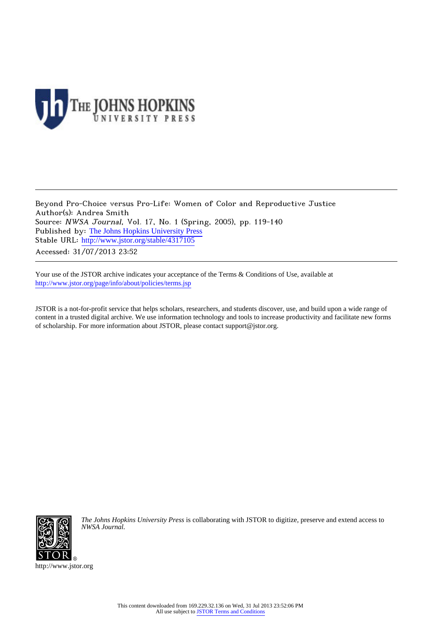

Beyond Pro-Choice versus Pro-Life: Women of Color and Reproductive Justice Author(s): Andrea Smith Source: NWSA Journal, Vol. 17, No. 1 (Spring, 2005), pp. 119-140 Published by: [The Johns Hopkins University Press](http://www.jstor.org/action/showPublisher?publisherCode=jhup) Stable URL: [http://www.jstor.org/stable/4317105](http://www.jstor.org/stable/4317105?origin=JSTOR-pdf) Accessed: 31/07/2013 23:52

Your use of the JSTOR archive indicates your acceptance of the Terms & Conditions of Use, available at <http://www.jstor.org/page/info/about/policies/terms.jsp>

JSTOR is a not-for-profit service that helps scholars, researchers, and students discover, use, and build upon a wide range of content in a trusted digital archive. We use information technology and tools to increase productivity and facilitate new forms of scholarship. For more information about JSTOR, please contact support@jstor.org.



*The Johns Hopkins University Press* is collaborating with JSTOR to digitize, preserve and extend access to *NWSA Journal.*

http://www.jstor.org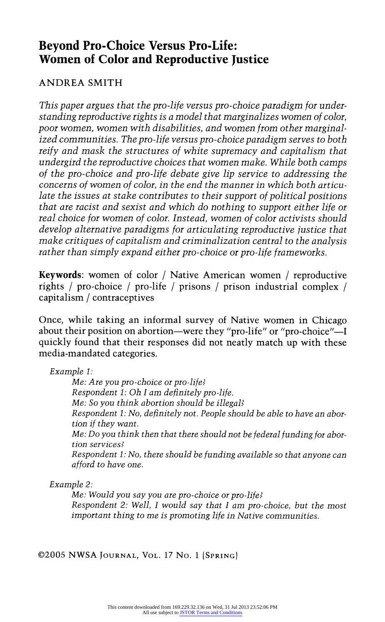# **Beyond Pro-Choice Versus Pro-Life: Women of Color and Reproductive Justice**

#### **ANDREA SMITH**

**This paper argues that the pro-life versus pro-choice paradigm for understanding reproductive rights is a model that marginalizes women of color, poor women, women with disabilities, and women from other marginalized communities. The pro-life versus pro-choice paradigm serves to both reify and mask the structures of white supremacy and capitalism that undergird the reproductive choices that women make. While both camps of the pro-choice and pro-life debate give lip service to addressing the concerns of women of color, in the end the manner in which both articulate the issues at stake contributes to their support of political positions that are racist and sexist and which do nothing to support either life or real choice for women of color. Instead, women of color activists should develop alternative paradigms for articulating reproductive justice that make critiques of capitalism and criminalization central to the analysis rather than simply expand either pro-choice or pro-life frameworks.** 

**Keywords: women of color / Native American women / reproductive rights / pro-choice / pro-life / prisons / prison industrial complex / capitalism / contraceptives** 

**Once, while taking an informal survey of Native women in Chicago about their position on abortion-were they "pro-life" or "pro-choice"-I quickly found that their responses did not neatly match up with these media-mandated categories.** 

**Example 1:** 

**Me: Are you pro-choice or pro-life? Respondent 1: Oh I am definitely pro-life. Me: So you think abortion should be illegal? Respondent 1: No, definitely not. People should be able to have an abortion if they want. Me: Do you think then that there should not be federal funding for abortion services? Respondent 1: No, there should be funding available so that anyone can afford to have one.** 

**Example 2:** 

**Me: Would you say you are pro-choice or pro-life? Respondent 2: Well, I would say that I am pro-choice, but the most important thing to me is promoting life in Native communities.** 

**?02005 NWSA JOURNAL, VOL. 17 No. 1 (SPRING)**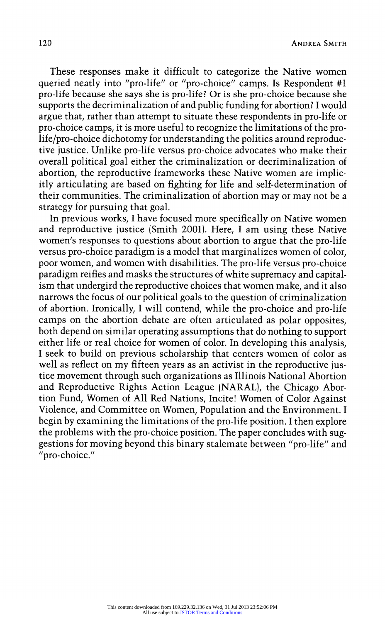**These responses make it difficult to categorize the Native women queried neatly into "pro-life" or "pro-choice" camps. Is Respondent #1 pro-life because she says she is pro-life? Or is she pro-choice because she supports the decriminalization of and public funding for abortion? I would argue that, rather than attempt to situate these respondents in pro-life or pro-choice camps, it is more useful to recognize the limitations of the prolife/pro-choice dichotomy for understanding the politics around reproductive justice. Unlike pro-life versus pro-choice advocates who make their overall political goal either the criminalization or decriminalization of abortion, the reproductive frameworks these Native women are implicitly articulating are based on fighting for life and self-determination of their communities. The criminalization of abortion may or may not be a strategy for pursuing that goal.** 

**In previous works, I have focused more specifically on Native women and reproductive justice (Smith 2001). Here, I am using these Native women's responses to questions about abortion to argue that the pro-life versus pro-choice paradigm is a model that marginalizes women of color, poor women, and women with disabilities. The pro-life versus pro-choice paradigm reifies and masks the structures of white supremacy and capitalism that undergird the reproductive choices that women make, and it also narrows the focus of our political goals to the question of criminalization of abortion. Ironically, I will contend, while the pro-choice and pro-life camps on the abortion debate are often articulated as polar opposites, both depend on similar operating assumptions that do nothing to support either life or real choice for women of color. In developing this analysis, I seek to build on previous scholarship that centers women of color as well as reflect on my fifteen years as an activist in the reproductive justice movement through such organizations as Illinois National Abortion and Reproductive Rights Action League (NARAL), the Chicago Abortion Fund, Women of All Red Nations, Incite! Women of Color Against Violence, and Committee on Women, Population and the Environment. I begin by examining the limitations of the pro-life position. I then explore the problems with the pro-choice position. The paper concludes with suggestions for moving beyond this binary stalemate between "pro-life" and "pro-choice."**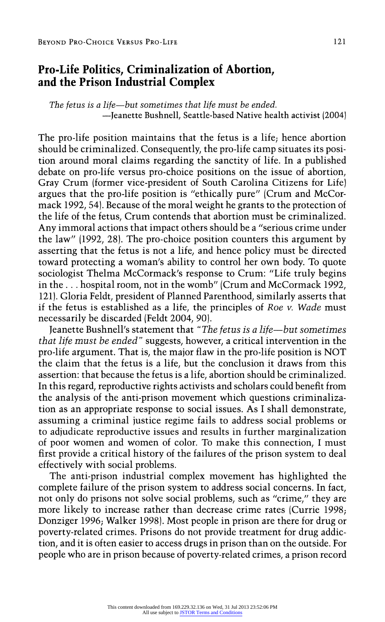## **Pro-Life Politics, Criminalization of Abortion, and the Prison Industrial Complex**

**The fetus is a life-but sometimes that life must be ended. -Jeanette Bushnell, Seattle-based Native health activist (2004)** 

**The pro-life position maintains that the fetus is a life; hence abortion should be criminalized. Consequently, the pro-life camp situates its position around moral claims regarding the sanctity of life. In a published debate on pro-life versus pro-choice positions on the issue of abortion, Gray Crum (former vice-president of South Carolina Citizens for Life) argues that the pro-life position is "ethically pure" (Crum and McCormack 1992, 54). Because of the moral weight he grants to the protection of the life of the fetus, Crum contends that abortion must be criminalized. Any immoral actions that impact others should be a "serious crime under the law" (1992, 28). The pro-choice position counters this argument by asserting that the fetus is not a life, and hence policy must be directed toward protecting a woman's ability to control her own body. To quote sociologist Thelma McCormack's response to Crum: "Life truly begins in the ... hospital room, not in the womb" (Crum and McCormack 1992, 121). Gloria Feldt, president of Planned Parenthood, similarly asserts that if the fetus is established as a life, the principles of Roe v. Wade must necessarily be discarded (Feldt 2004, 90).** 

**Jeanette Bushnell's statement that "The fetus is a life-but sometimes that life must be ended" suggests, however, a critical intervention in the pro-life argument. That is, the major flaw in the pro-life position is NOT the claim that the fetus is a life, but the conclusion it draws from this assertion: that because the fetus is a life, abortion should be criminalized. In this regard, reproductive rights activists and scholars could benefit from the analysis of the anti-prison movement which questions criminalization as an appropriate response to social issues. As I shall demonstrate, assuming a criminal justice regime fails to address social problems or to adjudicate reproductive issues and results in further marginalization of poor women and women of color. To make this connection, I must first provide a critical history of the failures of the prison system to deal effectively with social problems.** 

**The anti-prison industrial complex movement has highlighted the complete failure of the prison system to address social concerns. In fact, not only do prisons not solve social problems, such as "crime," they are more likely to increase rather than decrease crime rates (Currie 1998; Donziger 1996; Walker 1998). Most people in prison are there for drug or poverty-related crimes. Prisons do not provide treatment for drug addiction, and it is often easier to access drugs in prison than on the outside. For people who are in prison because of poverty-related crimes, a prison record**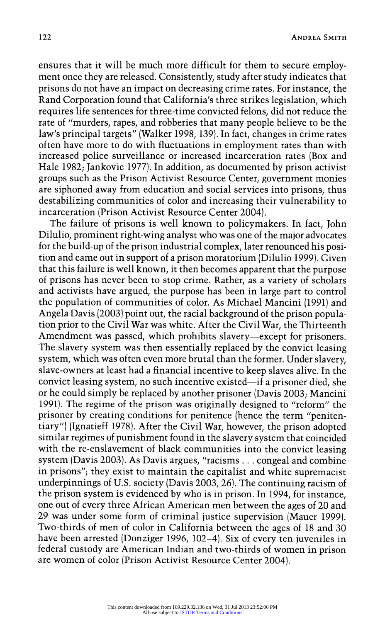**ensures that it will be much more difficult for them to secure employment once they are released. Consistently, study after study indicates that prisons do not have an impact on decreasing crime rates. For instance, the Rand Corporation found that California's three strikes legislation, which requires life sentences for three-time convicted felons, did not reduce the rate of "murders, rapes, and robberies that many people believe to be the law's principal targets" (Walker 1998, 139). In fact, changes in crime rates often have more to do with fluctuations in employment rates than with increased police surveillance or increased incarceration rates (Box and Hale 1982; Jankovic 1977). In addition, as documented by prison activist groups such as the Prison Activist Resource Center, government monies are siphoned away from education and social services into prisons, thus destabilizing communities of color and increasing their vulnerability to incarceration (Prison Activist Resource Center 2004).** 

**The failure of prisons is well known to policymakers. In fact, John Dilulio, prominent right-wing analyst who was one of the major advocates for the build-up of the prison industrial complex, later renounced his position and came out in support of a prison moratorium (Dilulio 1999). Given that this failure is well known, it then becomes apparent that the purpose of prisons has never been to stop crime. Rather, as a variety of scholars and activists have argued, the purpose has been in large part to control the population of communities of color. As Michael Mancini (1991) and Angela Davis (2003) point out, the racial background of the prison population prior to the Civil War was white. After the Civil War, the Thirteenth**  Amendment was passed, which prohibits slavery-except for prisoners. **The slavery system was then essentially replaced by the convict leasing system, which was often even more brutal than the former. Under slavery, slave-owners at least had a financial incentive to keep slaves alive. In the convict leasing system, no such incentive existed-if a prisoner died, she or he could simply be replaced by another prisoner (Davis 2003; Mancini 1991). The regime of the prison was originally designed to "reform" the prisoner by creating conditions for penitence (hence the term "penitentiary") (Ignatieff 1978). After the Civil War, however, the prison adopted similar regimes of punishment found in the slavery system that coincided with the re-enslavement of black communities into the convict leasing system (Davis 2003). As Davis argues, "racisms ... congeal and combine in prisons"; they exist to maintain the capitalist and white supremacist underpinnings of U.S. society (Davis 2003, 26). The continuing racism of the prison system is evidenced by who is in prison. In 1994, for instance, one out of every three African American men between the ages of 20 and 29 was under some form of criminal justice supervision (Mauer 1999). Two-thirds of men of color in California between the ages of 18 and 30 have been arrested (Donziger 1996, 102-4). Six of every ten juveniles in federal custody are American Indian and two-thirds of women in prison are women of color (Prison Activist Resource Center 2004).**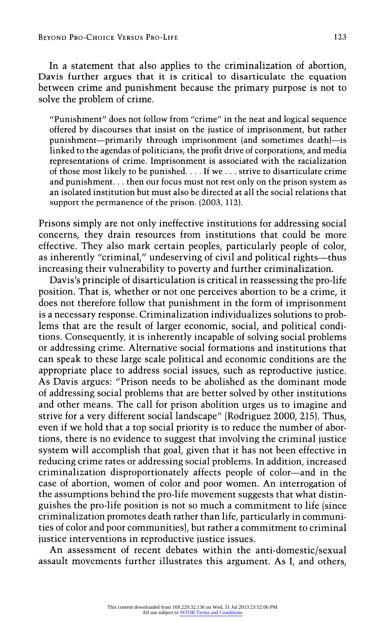**In a statement that also applies to the criminalization of abortion, Davis further argues that it is critical to disarticulate the equation between crime and punishment because the primary purpose is not to solve the problem of crime.** 

**"Punishment" does not follow from "crime" in the neat and logical sequence offered by discourses that insist on the justice of imprisonment, but rather punishment-primarily through imprisonment (and sometimes death)-is linked to the agendas of politicians, the profit drive of corporations, and media representations of crime. Imprisonment is associated with the racialization of those most likely to be punished.... If we ... strive to disarticulate crime and punishment... then our focus must not rest only on the prison system as an isolated institution but must also be directed at all the social relations that support the permanence of the prison. (2003, 112).** 

**Prisons simply are not only ineffective institutions for addressing social concerns, they drain resources from institutions that could be more effective. They also mark certain peoples, particularly people of color, as inherently "criminal," undeserving of civil and political rights-thus increasing their vulnerability to poverty and further criminalization.** 

**Davis's principle of disarticulation is critical in reassessing the pro-life position. That is, whether or not one perceives abortion to be a crime, it does not therefore follow that punishment in the form of imprisonment is a necessary response. Criminalization individualizes solutions to problems that are the result of larger economic, social, and political conditions. Consequently, it is inherently incapable of solving social problems or addressing crime. Alternative social formations and institutions that can speak to these large scale political and economic conditions are the appropriate place to address social issues, such as reproductive justice. As Davis argues: "Prison needs to be abolished as the dominant mode of addressing social problems that are better solved by other institutions and other means. The call for prison abolition urges us to imagine and strive for a very different social landscape" (Rodriguez 2000, 215). Thus, even if we hold that a top social priority is to reduce the number of abortions, there is no evidence to suggest that involving the criminal justice system will accomplish that goal, given that it has not been effective in reducing crime rates or addressing social problems. In addition, increased criminalization disproportionately affects people of color-and in the case of abortion, women of color and poor women. An interrogation of the assumptions behind the pro-life movement suggests that what distinguishes the pro-life position is not so much a commitment to life (since criminalization promotes death rather than life, particularly in communities of color and poor communities), but rather a commitment to criminal justice interventions in reproductive justice issues.** 

**An assessment of recent debates within the anti-domestic/sexual assault movements further illustrates this argument. As I, and others,**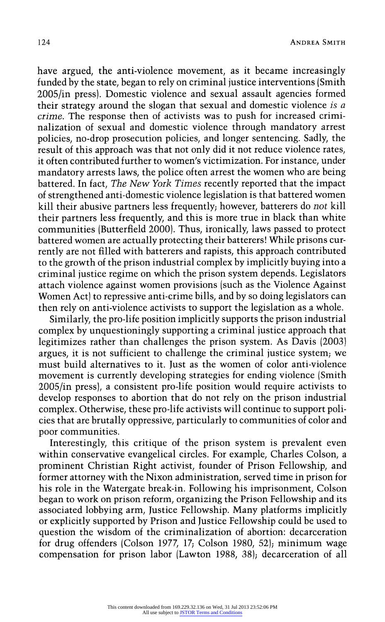**have argued, the anti-violence movement, as it became increasingly funded by the state, began to rely on criminal justice interventions (Smith 2005/in press). Domestic violence and sexual assault agencies formed their strategy around the slogan that sexual and domestic violence is a crime. The response then of activists was to push for increased criminalization of sexual and domestic violence through mandatory arrest policies, no-drop prosecution policies, and longer sentencing. Sadly, the result of this approach was that not only did it not reduce violence rates, it often contributed further to women's victimization. For instance, under mandatory arrests laws, the police often arrest the women who are being battered. In fact, The New York Times recently reported that the impact of strengthened anti-domestic violence legislation is that battered women kill their abusive partners less frequently; however, batterers do not kill their partners less frequently, and this is more true in black than white communities (Butterfield 2000). Thus, ironically, laws passed to protect battered women are actually protecting their batterers! While prisons currently are not filled with batterers and rapists, this approach contributed to the growth of the prison industrial complex by implicitly buying into a criminal justice regime on which the prison system depends. Legislators attach violence against women provisions (such as the Violence Against Women Act) to repressive anti-crime bills, and by so doing legislators can then rely on anti-violence activists to support the legislation as a whole.** 

**Similarly, the pro-life position implicitly supports the prison industrial complex by unquestioningly supporting a criminal justice approach that legitimizes rather than challenges the prison system. As Davis (2003) argues, it is not sufficient to challenge the criminal justice system; we must build alternatives to it. Just as the women of color anti-violence movement is currently developing strategies for ending violence (Smith 2005/in press), a consistent pro-life position would require activists to develop responses to abortion that do not rely on the prison industrial complex. Otherwise, these pro-life activists will continue to support policies that are brutally oppressive, particularly to communities of color and poor communities.** 

**Interestingly, this critique of the prison system is prevalent even within conservative evangelical circles. For example, Charles Colson, a prominent Christian Right activist, founder of Prison Fellowship, and former attorney with the Nixon administration, served time in prison for his role in the Watergate break-in. Following his imprisonment, Colson began to work on prison reform, organizing the Prison Fellowship and its associated lobbying arm, Justice Fellowship. Many platforms implicitly or explicitly supported by Prison and Justice Fellowship could be used to question the wisdom of the criminalization of abortion: decarceration for drug offenders (Colson 1977, 17; Colson 1980, 52); minimum wage compensation for prison labor (Lawton 1988, 38); decarceration of all**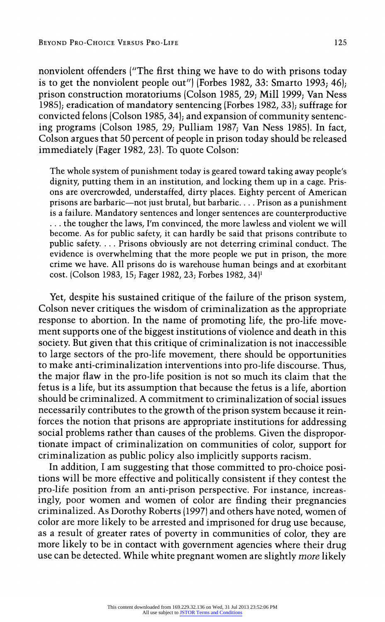**nonviolent offenders ("The first thing we have to do with prisons today is to get the nonviolent people out") (Forbes 1982, 33: Smarto 1993; 46); prison construction moratoriums (Colson 1985, 29; Mill 1999; Van Ness 1985); eradication of mandatory sentencing (Forbes 1982, 33); suffrage for convicted felons (Colson 1985, 34); and expansion of community sentencing programs (Colson 1985, 29; Pulliam 1987; Van Ness 1985). In fact, Colson argues that 50 percent of people in prison today should be released immediately (Fager 1982, 23). To quote Colson:** 

**The whole system of punishment today is geared toward taking away people's dignity, putting them in an institution, and locking them up in a cage. Prisons are overcrowded, understaffed, dirty places. Eighty percent of American prisons are barbaric-not just brutal, but barbaric.... Prison as a punishment is a failure. Mandatory sentences and longer sentences are counterproductive ... the tougher the laws, I'm convinced, the more lawless and violent we will become. As for public safety, it can hardly be said that prisons contribute to public safety. . .. Prisons obviously are not deterring criminal conduct. The evidence is overwhelming that the more people we put in prison, the more crime we have. All prisons do is warehouse human beings and at exorbitant cost. (Colson 1983, 15; Fager 1982, 23; Forbes 1982, 34)1** 

**Yet, despite his sustained critique of the failure of the prison system, Colson never critiques the wisdom of criminalization as the appropriate response to abortion. In the name of promoting life, the pro-life movement supports one of the biggest institutions of violence and death in this society. But given that this critique of criminalization is not inaccessible to large sectors of the pro-life movement, there should be opportunities to make anti-criminalization interventions into pro-life discourse. Thus, the major flaw in the pro-life position is not so much its claim that the fetus is a life, but its assumption that because the fetus is a life, abortion should be criminalized. A commitment to criminalization of social issues necessarily contributes to the growth of the prison system because it reinforces the notion that prisons are appropriate institutions for addressing social problems rather than causes of the problems. Given the disproportionate impact of criminalization on communities of color, support for criminalization as public policy also implicitly supports racism.** 

**In addition, I am suggesting that those committed to pro-choice positions will be more effective and politically consistent if they contest the pro-life position from an anti-prison perspective. For instance, increasingly, poor women and women of color are finding their pregnancies criminalized. As Dorothy Roberts (1997) and others have noted, women of color are more likely to be arrested and imprisoned for drug use because, as a result of greater rates of poverty in communities of color, they are more likely to be in contact with government agencies where their drug use can be detected. While white pregnant women are slightly more likely**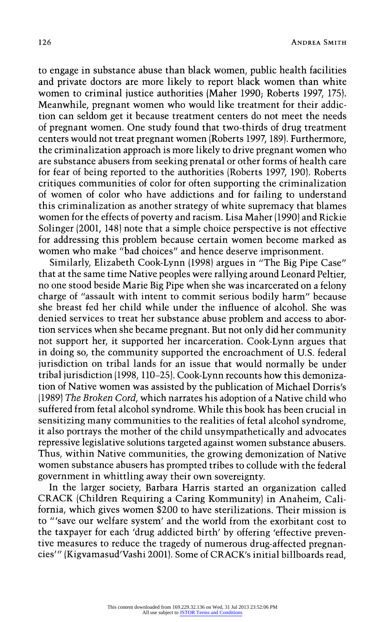**to engage in substance abuse than black women, public health facilities and private doctors are more likely to report black women than white women to criminal justice authorities (Maher 1990; Roberts 1997, 175). Meanwhile, pregnant women who would like treatment for their addiction can seldom get it because treatment centers do not meet the needs of pregnant women. One study found that two-thirds of drug treatment centers would not treat pregnant women (Roberts 1997, 189). Furthermore, the criminalization approach is more likely to drive pregnant women who are substance abusers from seeking prenatal or other forms of health care for fear of being reported to the authorities (Roberts 1997, 190). Roberts critiques communities of color for often supporting the criminalization of women of color who have addictions and for failing to understand this criminalization as another strategy of white supremacy that blames women for the effects of poverty and racism. Lisa Maher (1990) and Rickie Solinger (2001, 148) note that a simple choice perspective is not effective for addressing this problem because certain women become marked as women who make "bad choices" and hence deserve imprisonment.** 

**Similarly, Elizabeth Cook-Lynn (1998) argues in "The Big Pipe Case" that at the same time Native peoples were rallying around Leonard Peltier, no one stood beside Marie Big Pipe when she was incarcerated on a felony charge of "assault with intent to commit serious bodily harm" because she breast fed her child while under the influence of alcohol. She was denied services to treat her substance abuse problem and access to abortion services when she became pregnant. But not only did her community not support her, it supported her incarceration. Cook-Lynn argues that in doing so, the community supported the encroachment of U.S. federal jurisdiction on tribal lands for an issue that would normally be under tribal jurisdiction (1998, 110-25). Cook-Lynn recounts how this demonization of Native women was assisted by the publication of Michael Dorris's (1989) The Broken Cord, which narrates his adoption of a Native child who suffered from fetal alcohol syndrome. While this book has been crucial in sensitizing many communities to the realities of fetal alcohol syndrome, it also portrays the mother of the child unsympathetically and advocates repressive legislative solutions targeted against women substance abusers. Thus, within Native communities, the growing demonization of Native women substance abusers has prompted tribes to collude with the federal government in whittling away their own sovereignty.** 

**In the larger society, Barbara Harris started an organization called CRACK (Children Requiring a Caring Kommunity) in Anaheim, California, which gives women \$200 to have sterilizations. Their mission is to "'save our welfare system' and the world from the exorbitant cost to the taxpayer for each 'drug addicted birth' by offering 'effective preventive measures to reduce the tragedy of numerous drug-affected pregnancies"' (Kigvamasud'Vashi 2001). Some of CRACK's initial billboards read,**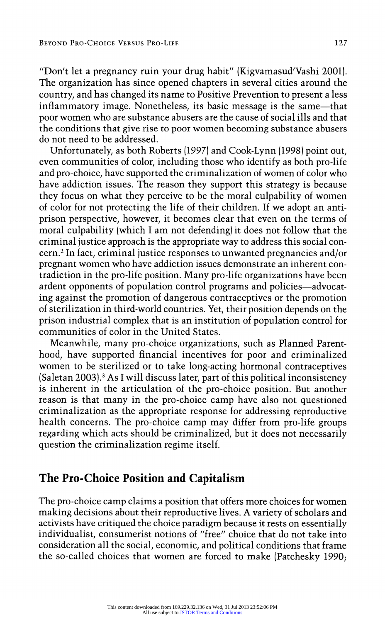**"Don't let a pregnancy ruin your drug habit" (Kigvamasud'Vashi 2001). The organization has since opened chapters in several cities around the country, and has changed its name to Positive Prevention to present a less inflammatory image. Nonetheless, its basic message is the same-that poor women who are substance abusers are the cause of social ills and that the conditions that give rise to poor women becoming substance abusers do not need to be addressed.** 

**Unfortunately, as both Roberts (1997) and Cook-Lynn (1998) point out, even communities of color, including those who identify as both pro-life and pro-choice, have supported the criminalization of women of color who have addiction issues. The reason they support this strategy is because they focus on what they perceive to be the moral culpability of women of color for not protecting the life of their children. If we adopt an antiprison perspective, however, it becomes clear that even on the terms of moral culpability (which I am not defending) it does not follow that the criminal justice approach is the appropriate way to address this social concern.2 In fact, criminal justice responses to unwanted pregnancies and/or pregnant women who have addiction issues demonstrate an inherent contradiction in the pro-life position. Many pro-life organizations have been ardent opponents of population control programs and policies-advocating against the promotion of dangerous contraceptives or the promotion of sterilization in third-world countries. Yet, their position depends on the prison industrial complex that is an institution of population control for communities of color in the United States.** 

**Meanwhile, many pro-choice organizations, such as Planned Parenthood, have supported financial incentives for poor and criminalized women to be sterilized or to take long-acting hormonal contraceptives (Saletan 2003).3 As I will discuss later, part of this political inconsistency is inherent in the articulation of the pro-choice position. But another reason is that many in the pro-choice camp have also not questioned criminalization as the appropriate response for addressing reproductive health concerns. The pro-choice camp may differ from pro-life groups regarding which acts should be criminalized, but it does not necessarily question the criminalization regime itself.** 

### **The Pro-Choice Position and Capitalism**

**The pro-choice camp claims a position that offers more choices for women making decisions about their reproductive lives. A variety of scholars and activists have critiqued the choice paradigm because it rests on essentially individualist, consumerist notions of "free" choice that do not take into consideration all the social, economic, and political conditions that frame the so-called choices that women are forced to make (Patchesky 1990;**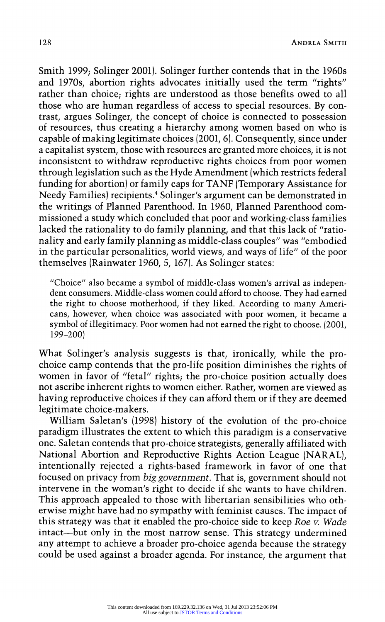**Smith 1999; Solinger 2001). Solinger further contends that in the 1960s and 1970s, abortion rights advocates initially used the term "rights" rather than choice; rights are understood as those benefits owed to all those who are human regardless of access to special resources. By contrast, argues Solinger, the concept of choice is connected to possession of resources, thus creating a hierarchy among women based on who is capable of making legitimate choices (2001, 6). Consequently, since under a capitalist system, those with resources are granted more choices, it is not inconsistent to withdraw reproductive rights choices from poor women through legislation such as the Hyde Amendment (which restricts federal funding for abortion) or family caps for TANF (Temporary Assistance for Needy Families) recipients.4 Solinger's argument can be demonstrated in the writings of Planned Parenthood. In 1960, Planned Parenthood commissioned a study which concluded that poor and working-class families lacked the rationality to do family planning, and that this lack of "rationality and early family planning as middle-class couples" was "embodied in the particular personalities, world views, and ways of life" of the poor themselves (Rainwater 1960, 5, 167). As Solinger states:** 

**"Choice" also became a symbol of middle-class women's arrival as independent consumers. Middle-class women could afford to choose. They had earned the right to choose motherhood, if they liked. According to many Americans, however, when choice was associated with poor women, it became a symbol of illegitimacy. Poor women had not earned the right to choose. (2001, 199-200)** 

**What Solinger's analysis suggests is that, ironically, while the prochoice camp contends that the pro-life position diminishes the rights of women in favor of "fetal" rights; the pro-choice position actually does not ascribe inherent rights to women either. Rather, women are viewed as having reproductive choices if they can afford them or if they are deemed legitimate choice-makers.** 

**William Saletan's (1998) history of the evolution of the pro-choice paradigm illustrates the extent to which this paradigm is a conservative one. Saletan contends that pro-choice strategists, generally affiliated with National Abortion and Reproductive Rights Action League (NARAL), intentionally rejected a rights-based framework in favor of one that focused on privacy from big government. That is, government should not intervene in the woman's right to decide if she wants to have children. This approach appealed to those with libertarian sensibilities who otherwise might have had no sympathy with feminist causes. The impact of this strategy was that it enabled the pro-choice side to keep Roe v. Wade intact-but only in the most narrow sense. This strategy undermined any attempt to achieve a broader pro-choice agenda because the strategy could be used against a broader agenda. For instance, the argument that**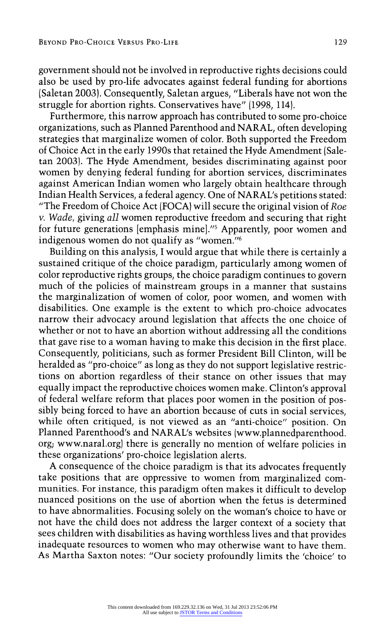**government should not be involved in reproductive rights decisions could also be used by pro-life advocates against federal funding for abortions (Saletan 2003). Consequently, Saletan argues, "Liberals have not won the struggle for abortion rights. Conservatives have" (1998, 114).** 

**Furthermore, this narrow approach has contributed to some pro-choice organizations, such as Planned Parenthood and NARAL, often developing strategies that marginalize women of color. Both supported the Freedom of Choice Act in the early 1990s that retained the Hyde Amendment (Saletan 2003). The Hyde Amendment, besides discriminating against poor women by denying federal funding for abortion services, discriminates against American Indian women who largely obtain healthcare through Indian Health Services, a federal agency. One of NARAL's petitions stated: "The Freedom of Choice Act (FOCA) will secure the original vision of Roe v. Wade, giving all women reproductive freedom and securing that right for future generations [emphasis mine]."' Apparently, poor women and indigenous women do not qualify as "women. "6** 

**Building on this analysis, I would argue that while there is certainly a sustained critique of the choice paradigm, particularly among women of color reproductive rights groups, the choice paradigm continues to govern much of the policies of mainstream groups in a manner that sustains the marginalization of women of color, poor women, and women with disabilities. One example is the extent to which pro-choice advocates narrow their advocacy around legislation that affects the one choice of whether or not to have an abortion without addressing all the conditions that gave rise to a woman having to make this decision in the first place. Consequently, politicians, such as former President Bill Clinton, will be heralded as "pro-choice" as long as they do not support legislative restrictions on abortion regardless of their stance on other issues that may equally impact the reproductive choices women make. Clinton's approval of federal welfare reform that places poor women in the position of possibly being forced to have an abortion because of cuts in social services, while often critiqued, is not viewed as an "anti-choice" position. On Planned Parenthood's and NARAL's websites (www.plannedparenthood. org; www.naral.org) there is generally no mention of welfare policies in these organizations' pro-choice legislation alerts.** 

**A consequence of the choice paradigm is that its advocates frequently take positions that are oppressive to women from marginalized communities. For instance, this paradigm often makes it difficult to develop nuanced positions on the use of abortion when the fetus is determined to have abnormalities. Focusing solely on the woman's choice to have or not have the child does not address the larger context of a society that sees children with disabilities as having worthless lives and that provides inadequate resources to women who may otherwise want to have them. As Martha Saxton notes: "Our society profoundly limits the 'choice' to**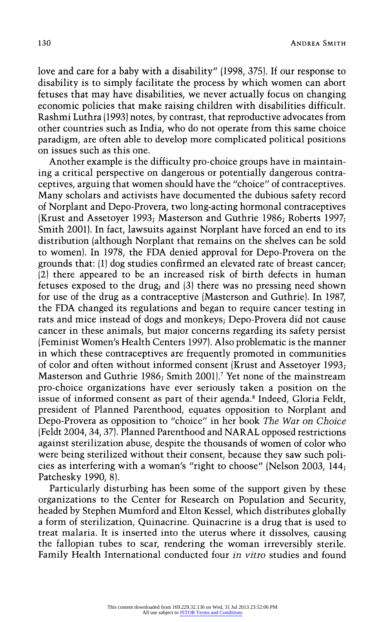**130 ANDREA SMITH** 

**love and care for a baby with a disability" (1998, 375). If our response to disability is to simply facilitate the process by which women can abort fetuses that may have disabilities, we never actually focus on changing economic policies that make raising children with disabilities difficult. Rashmi Luthra (1993) notes, by contrast, that reproductive advocates from other countries such as India, who do not operate from this same choice paradigm, are often able to develop more complicated political positions on issues such as this one.** 

**Another example is the difficulty pro-choice groups have in maintaining a critical perspective on dangerous or potentially dangerous contraceptives, arguing that women should have the "choice" of contraceptives. Many scholars and activists have documented the dubious safety record of Norplant and Depo-Provera, two long-acting hormonal contraceptives (Krust and Assetoyer 1993; Masterson and Guthrie 1986; Roberts 1997; Smith 2001). In fact, lawsuits against Norplant have forced an end to its distribution (although Norplant that remains on the shelves can be sold to women). In 1978, the FDA denied approval for Depo-Provera on the grounds that: (1) dog studies confirmed an elevated rate of breast cancer; (2) there appeared to be an increased risk of birth defects in human fetuses exposed to the drug; and (3) there was no pressing need shown for use of the drug as a contraceptive (Masterson and Guthrie). In 1987, the FDA changed its regulations and began to require cancer testing in rats and mice instead of dogs and monkeys; Depo-Provera did not cause cancer in these animals, but major concerns regarding its safety persist (Feminist Women's Health Centers 1997). Also problematic is the manner in which these contraceptives are frequently promoted in communities of color and often without informed consent (Krust and Assetoyer 1993; Masterson and Guthrie 1986; Smith 2001).7 Yet none of the mainstream pro-choice organizations have ever seriously taken a position on the issue of informed consent as part of their agenda.8 Indeed, Gloria Feldt, president of Planned Parenthood, equates opposition to Norplant and Depo-Provera as opposition to "choice" in her book The War on Choice (Feldt 2004,34,37). Planned Parenthood and NARAL opposed restrictions against sterilization abuse, despite the thousands of women of color who were being sterilized without their consent, because they saw such policies as interfering with a woman's "right to choose" (Nelson 2003, 144; Patchesky 1990, 8).** 

**Particularly disturbing has been some of the support given by these organizations to the Center for Research on Population and Security, headed by Stephen Mumford and Elton Kessel, which distributes globally a form of sterilization, Quinacrine. Quinacrine is a drug that is used to treat malaria. It is inserted into the uterus where it dissolves, causing the fallopian tubes to scar, rendering the woman irreversibly sterile. Family Health International conducted four in vitro studies and found**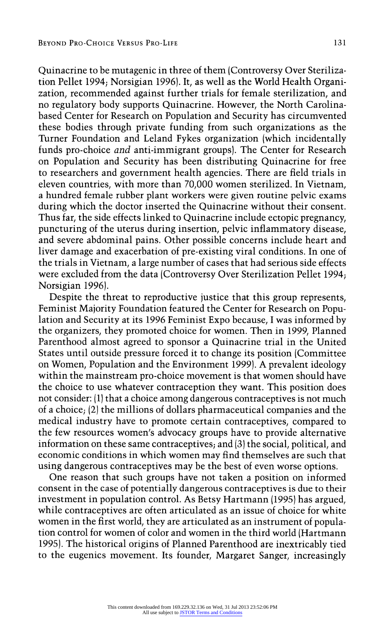**Quinacrine to be mutagenic in three of them (Controversy Over Sterilization Pellet 1994; Norsigian 1996). It, as well as the World Health Organization, recommended against further trials for female sterilization, and no regulatory body supports Quinacrine. However, the North Carolinabased Center for Research on Population and Security has circumvented these bodies through private funding from such organizations as the Turner Foundation and Leland Fykes organization (which incidentally funds pro-choice and anti-immigrant groups). The Center for Research on Population and Security has been distributing Quinacrine for free to researchers and government health agencies. There are field trials in eleven countries, with more than 70,000 women sterilized. In Vietnam, a hundred female rubber plant workers were given routine pelvic exams during which the doctor inserted the Quinacrine without their consent. Thus far, the side effects linked to Quinacrine include ectopic pregnancy, puncturing of the uterus during insertion, pelvic inflammatory disease, and severe abdominal pains. Other possible concerns include heart and liver damage and exacerbation of pre-existing viral conditions. In one of the trials in Vietnam, a large number of cases that had serious side effects were excluded from the data (Controversy Over Sterilization Pellet 1994; Norsigian 1996).** 

**Despite the threat to reproductive justice that this group represents, Feminist Majority Foundation featured the Center for Research on Population and Security at its 1996 Feminist Expo because, I was informed by the organizers, they promoted choice for women. Then in 1999, Planned Parenthood almost agreed to sponsor a Quinacrine trial in the United States until outside pressure forced it to change its position (Committee on Women, Population and the Environment 1999). A prevalent ideology within the mainstream pro-choice movement is that women should have the choice to use whatever contraception they want. This position does not consider: (1) that a choice among dangerous contraceptives is not much of a choice; (2) the millions of dollars pharmaceutical companies and the medical industry have to promote certain contraceptives, compared to the few resources women's advocacy groups have to provide alternative information on these same contraceptives; and (3) the social, political, and economic conditions in which women may find themselves are such that using dangerous contraceptives may be the best of even worse options.** 

**One reason that such groups have not taken a position on informed consent in the case of potentially dangerous contraceptives is due to their investment in population control. As Betsy Hartmann (1995) has argued, while contraceptives are often articulated as an issue of choice for white women in the first world, they are articulated as an instrument of population control for women of color and women in the third world (Hartmann 1995). The historical origins of Planned Parenthood are inextricably tied to the eugenics movement. Its founder, Margaret Sanger, increasingly**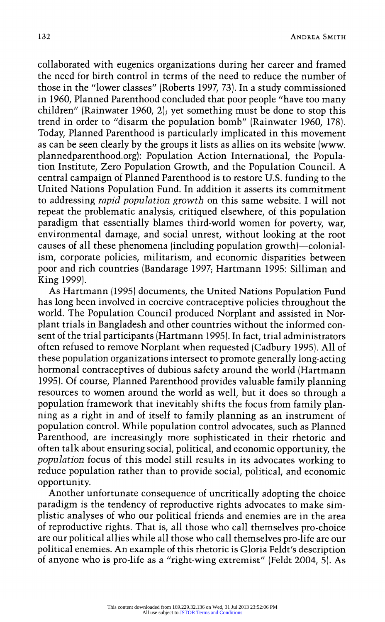**collaborated with eugenics organizations during her career and framed the need for birth control in terms of the need to reduce the number of those in the "lower classes" (Roberts 1997, 73). In a study commissioned in 1960, Planned Parenthood concluded that poor people "have too many children" (Rainwater 1960, 2); yet something must be done to stop this trend in order to "disarm the population bomb" (Rainwater 1960, 178). Today, Planned Parenthood is particularly implicated in this movement as can be seen clearly by the groups it lists as allies on its website (www. plannedparenthood.org): Population Action International, the Population Institute, Zero Population Growth, and the Population Council. A central campaign of Planned Parenthood is to restore U.S. funding to the United Nations Population Fund. In addition it asserts its commitment to addressing rapid population growth on this same website. I will not repeat the problematic analysis, critiqued elsewhere, of this population paradigm that essentially blames third-world women for poverty, war, environmental damage, and social unrest, without looking at the root causes of all these phenomena (including population growth)-colonialism, corporate policies, militarism, and economic disparities between poor and rich countries (Bandarage 1997; Hartmann 1995: Silliman and King 1999).** 

**As Hartmann (1995) documents, the United Nations Population Fund has long been involved in coercive contraceptive policies throughout the world. The Population Council produced Norplant and assisted in Norplant trials in Bangladesh and other countries without the informed consent of the trial participants (Hartmann 1995). In fact, trial administrators often refused to remove Norplant when requested (Cadbury 1995). All of these population organizations intersect to promote generally long-acting hormonal contraceptives of dubious safety around the world (Hartmann 1995). Of course, Planned Parenthood provides valuable family planning resources to women around the world as well, but it does so through a population framework that inevitably shifts the focus from family planning as a right in and of itself to family planning as an instrument of population control. While population control advocates, such as Planned Parenthood, are increasingly more sophisticated in their rhetoric and often talk about ensuring social, political, and economic opportunity, the population focus of this model still results in its advocates working to reduce population rather than to provide social, political, and economic opportunity.** 

**Another unfortunate consequence of uncritically adopting the choice paradigm is the tendency of reproductive rights advocates to make simplistic analyses of who our political friends and enemies are in the area of reproductive rights. That is, all those who call themselves pro-choice are our political allies while all those who call themselves pro-life are our political enemies. An example of this rhetoric is Gloria Feldt's description of anyone who is pro-life as a "right-wing extremist" (Feldt 2004, 5). As**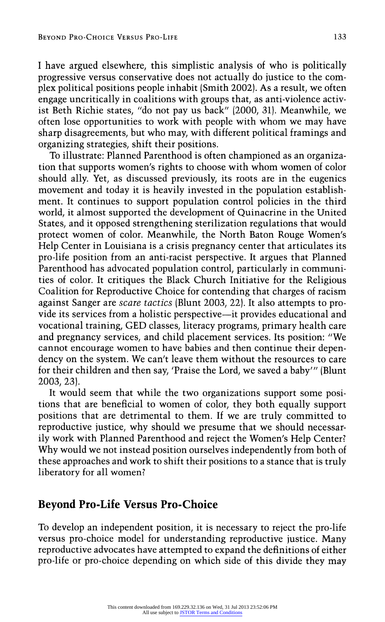**I have argued elsewhere, this simplistic analysis of who is politically progressive versus conservative does not actually do justice to the complex political positions people inhabit (Smith 2002). As a result, we often engage uncritically in coalitions with groups that, as anti-violence activist Beth Richie states, "do not pay us back" (2000, 31). Meanwhile, we often lose opportunities to work with people with whom we may have sharp disagreements, but who may, with different political framings and organizing strategies, shift their positions.** 

**To illustrate: Planned Parenthood is often championed as an organization that supports women's rights to choose with whom women of color should ally. Yet, as discussed previously, its roots are in the eugenics movement and today it is heavily invested in the population establishment. It continues to support population control policies in the third world, it almost supported the development of Quinacrine in the United States, and it opposed strengthening sterilization regulations that would protect women of color. Meanwhile, the North Baton Rouge Women's Help Center in Louisiana is a crisis pregnancy center that articulates its pro-life position from an anti-racist perspective. It argues that Planned Parenthood has advocated population control, particularly in communities of color. It critiques the Black Church Initiative for the Religious Coalition for Reproductive Choice for contending that charges of racism against Sanger are scare tactics (Blunt 2003, 22). It also attempts to provide its services from a holistic perspective-it provides educational and vocational training, GED classes, literacy programs, primary health care and pregnancy services, and child placement services. Its position: "We cannot encourage women to have babies and then continue their dependency on the system. We can't leave them without the resources to care for their children and then say, 'Praise the Lord, we saved a baby"' (Blunt 2003, 23).** 

**It would seem that while the two organizations support some positions that are beneficial to women of color, they both equally support positions that are detrimental to them. If we are truly committed to reproductive justice, why should we presume that we should necessarily work with Planned Parenthood and reject the Women's Help Center? Why would we not instead position ourselves independently from both of these approaches and work to shift their positions to a stance that is truly liberatory for all women?** 

#### **Beyond Pro-Life Versus Pro-Choice**

**To develop an independent position, it is necessary to reject the pro-life versus pro-choice model for understanding reproductive justice. Many reproductive advocates have attempted to expand the definitions of either pro-life or pro-choice depending on which side of this divide they may**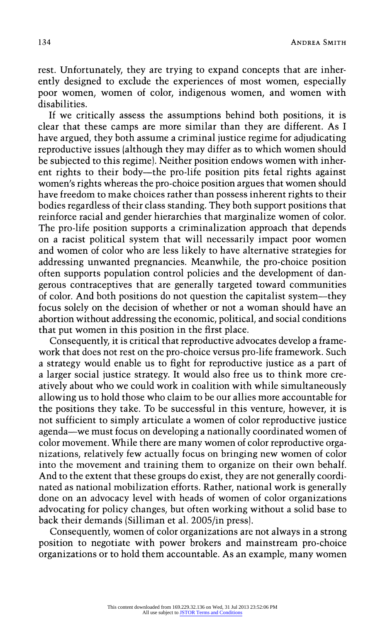**rest. Unfortunately, they are trying to expand concepts that are inherently designed to exclude the experiences of most women, especially poor women, women of color, indigenous women, and women with disabilities.** 

**If we critically assess the assumptions behind both positions, it is clear that these camps are more similar than they are different. As I have argued, they both assume a criminal justice regime for adjudicating reproductive issues (although they may differ as to which women should be subjected to this regime). Neither position endows women with inherent rights to their body-the pro-life position pits fetal rights against women's rights whereas the pro-choice position argues that women should have freedom to make choices rather than possess inherent rights to their bodies regardless of their class standing. They both support positions that reinforce racial and gender hierarchies that marginalize women of color. The pro-life position supports a criminalization approach that depends on a racist political system that will necessarily impact poor women and women of color who are less likely to have alternative strategies for addressing unwanted pregnancies. Meanwhile, the pro-choice position often supports population control policies and the development of dangerous contraceptives that are generally targeted toward communities of color. And both positions do not question the capitalist system-they focus solely on the decision of whether or not a woman should have an abortion without addressing the economic, political, and social conditions that put women in this position in the first place.** 

**Consequently, it is critical that reproductive advocates develop a framework that does not rest on the pro-choice versus pro-life framework. Such a strategy would enable us to fight for reproductive justice as a part of a larger social justice strategy. It would also free us to think more creatively about who we could work in coalition with while simultaneously allowing us to hold those who claim to be our allies more accountable for the positions they take. To be successful in this venture, however, it is not sufficient to simply articulate a women of color reproductive justice agenda-we must focus on developing a nationally coordinated women of color movement. While there are many women of color reproductive organizations, relatively few actually focus on bringing new women of color into the movement and training them to organize on their own behalf. And to the extent that these groups do exist, they are not generally coordinated as national mobilization efforts. Rather, national work is generally done on an advocacy level with heads of women of color organizations advocating for policy changes, but often working without a solid base to back their demands (Silliman et al. 2005/in press).** 

**Consequently, women of color organizations are not always in a strong position to negotiate with power brokers and mainstream pro-choice organizations or to hold them accountable. As an example, many women**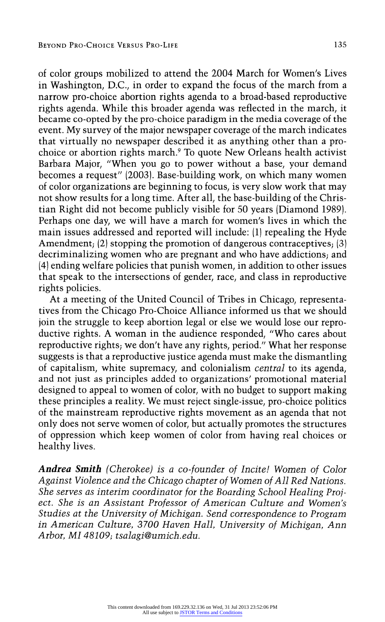**of color groups mobilized to attend the 2004 March for Women's Lives in Washington, D.C., in order to expand the focus of the march from a narrow pro-choice abortion rights agenda to a broad-based reproductive rights agenda. While this broader agenda was reflected in the march, it became co-opted by the pro-choice paradigm in the media coverage of the event. My survey of the major newspaper coverage of the march indicates that virtually no newspaper described it as anything other than a prochoice or abortion rights march.9 To quote New Orleans health activist Barbara Major, "When you go to power without a base, your demand becomes a request" (2003). Base-building work, on which many women of color organizations are beginning to focus, is very slow work that may not show results for a long time. After all, the base-building of the Christian Right did not become publicly visible for 50 years (Diamond 1989). Perhaps one day, we will have a march for women's lives in which the main issues addressed and reported will include: (1) repealing the Hyde Amendment; (2) stopping the promotion of dangerous contraceptives; (3) decriminalizing women who are pregnant and who have addictions; and (4) ending welfare policies that punish women, in addition to other issues that speak to the intersections of gender, race, and class in reproductive rights policies.** 

**At a meeting of the United Council of Tribes in Chicago, representatives from the Chicago Pro-Choice Alliance informed us that we should join the struggle to keep abortion legal or else we would lose our reproductive rights. A woman in the audience responded, "Who cares about reproductive rights; we don't have any rights, period." What her response suggests is that a reproductive justice agenda must make the dismantling of capitalism, white supremacy, and colonialism central to its agenda, and not just as principles added to organizations' promotional material designed to appeal to women of color, with no budget to support making these principles a reality. We must reject single-issue, pro-choice politics of the mainstream reproductive rights movement as an agenda that not only does not serve women of color, but actually promotes the structures of oppression which keep women of color from having real choices or healthy lives.** 

**Andrea Smith (Cherokee) is a co-founder of Incite! Women of Color Against Violence and the Chicago chapter of Women of All Red Nations. She serves as interim coordinator for the Boarding School Healing Project. She is an Assistant Professor of American Culture and Women's Studies at the University of Michigan. Send correspondence to Program in American Culture, 3700 Haven Hall, University of Michigan, Ann Arbor, MI 48109; tsalagi@umich.edu.**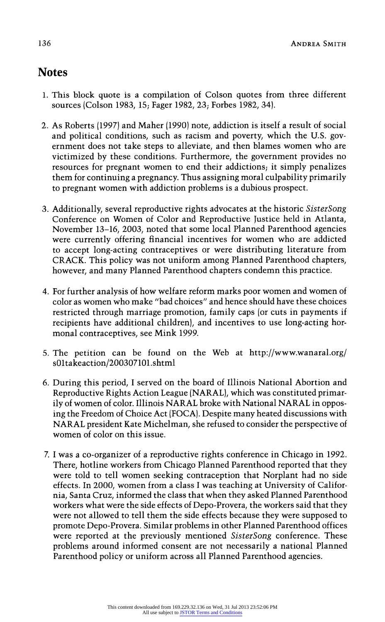## **Notes**

- **1. This block quote is a compilation of Colson quotes from three different sources (Colson 1983, 15; Fager 1982, 23; Forbes 1982, 34).**
- **2. As Roberts (1997) and Maher (1990) note, addiction is itself a result of social and political conditions, such as racism and poverty, which the U.S. government does not take steps to alleviate, and then blames women who are victimized by these conditions. Furthermore, the government provides no resources for pregnant women to end their addictions; it simply penalizes them for continuing a pregnancy. Thus assigning moral culpability primarily to pregnant women with addiction problems is a dubious prospect.**
- **3. Additionally, several reproductive rights advocates at the historic SisterSong Conference on Women of Color and Reproductive Justice held in Atlanta, November 13-16, 2003, noted that some local Planned Parenthood agencies were currently offering financial incentives for women who are addicted to accept long-acting contraceptives or were distributing literature from CRACK. This policy was not uniform among Planned Parenthood chapters, however, and many Planned Parenthood chapters condemn this practice.**
- **4. For further analysis of how welfare reform marks poor women and women of color as women who make "bad choices" and hence should have these choices restricted through marriage promotion, family caps (or cuts in payments if recipients have additional children), and incentives to use long-acting hormonal contraceptives, see Mink 1999.**
- **5. The petition can be found on the Web at http://www.wanaral.org/ sOltakeaction/200307101.shtml**
- **6. During this period, I served on the board of Illinois National Abortion and Reproductive Rights Action League (NARAL), which was constituted primarily of women of color. Illinois NARAL broke with National NARAL in opposing the Freedom of Choice Act (FOCA). Despite many heated discussions with NARAL president Kate Michelman, she refused to consider the perspective of women of color on this issue.**
- **7. I was a co-organizer of a reproductive rights conference in Chicago in 1992. There, hotline workers from Chicago Planned Parenthood reported that they were told to tell women seeking contraception that Norplant had no side effects. In 2000, women from a class I was teaching at University of California, Santa Cruz, informed the class that when they asked Planned Parenthood workers what were the side effects of Depo-Provera, the workers said that they were not allowed to tell them the side effects because they were supposed to promote Depo-Provera. Similar problems in other Planned Parenthood offices were reported at the previously mentioned SisterSong conference. These problems around informed consent are not necessarily a national Planned Parenthood policy or uniform across all Planned Parenthood agencies.**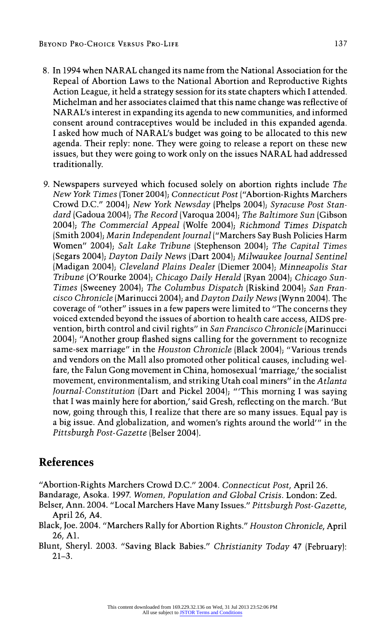- **8. In 1994 when NARAL changed its name from the National Association for the Repeal of Abortion Laws to the National Abortion and Reproductive Rights Action League, it held a strategy session for its state chapters which I attended. Michelman and her associates claimed that this name change was reflective of NARAL's interest in expanding its agenda to new communities, and informed consent around contraceptives would be included in this expanded agenda. I asked how much of NARAL's budget was going to be allocated to this new agenda. Their reply: none. They were going to release a report on these new issues, but they were going to work only on the issues NARAL had addressed traditionally.**
- **9. Newspapers surveyed which focused solely on abortion rights include The New York Times (Toner 2004); Connecticut Post ("Abortion-Rights Marchers Crowd D.C." 2004); New York Newsday (Phelps 2004); Syracuse Post Standard (Gadoua 2004); The Record (Varoqua 2004); The Baltimore Sun (Gibson 2004); The Commercial Appeal (Wolfe 2004); Richmond Times Dispatch (Smith 2004); Marin Independent Journal ("Marchers Say Bush Policies Harm Women" 2004); Salt Lake Tribune (Stephenson 2004); The Capital Times (Segars 2004); Dayton Daily News (Dart 2004); Milwaukee Journal Sentinel (Madigan 2004); Cleveland Plains Dealer (Diemer 2004); Minneapolis Star Tribune (O'Rourke 2004); Chicago Daily Herald (Ryan 2004); Chicago Sun-Times (Sweeney 2004); The Columbus Dispatch (Riskind 2004); San Francisco Chronicle (Marinucci 2004); and Dayton Daily News (Wynn 2004). The coverage of "other" issues in a few papers were limited to "The concerns they voiced extended beyond the issues of abortion to health care access, AIDS prevention, birth control and civil rights" in San Francisco Chronicle (Marinucci 2004); "Another group flashed signs calling for the government to recognize same-sex marriage" in the Houston Chronicle (Black 2004); "Various trends and vendors on the Mall also promoted other political causes, including welfare, the Falun Gong movement in China, homosexual 'marriage,' the socialist movement, environmentalism, and striking Utah coal miners" in the Atlanta Journal-Constitution (Dart and Pickel 2004); "'This morning I was saying that I was mainly here for abortion,' said Gresh, reflecting on the march. 'But now, going through this, I realize that there are so many issues. Equal pay is a big issue. And globalization, and women's rights around the world"' in the Pittsburgh Post-Gazette (Belser 2004).**

#### **References**

**"Abortion-Rights Marchers Crowd D.C." 2004. Connecticut Post, April 26.** 

**Bandarage, Asoka. 1997. Women, Population and Global Crisis. London: Zed.** 

**Belser, Ann. 2004. "Local Marchers Have Many Issues." Pittsburgh Post-Gazette, April 26, A4.** 

- **Black, Joe. 2004. "Marchers Rally for Abortion Rights." Houston Chronicle, April 26, Al.**
- **Blunt, Sheryl. 2003. "Saving Black Babies." Christianity Today 47 (February): 21-3.**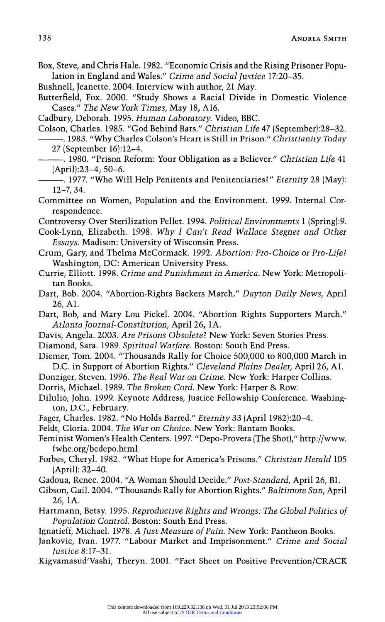- **Box, Steve, and Chris Hale. 1982. "Economic Crisis and the Rising Prisoner Population in England and Wales." Crime and Social Justice 17:20-35.**
- **Bushnell, Jeanette. 2004. Interview with author, 21 May.**
- **Butterfield, Fox. 2000. "Study Shows a Racial Divide in Domestic Violence Cases." The New York Times, May 18, A16.**
- **Cadbury, Deborah. 1995. Human Laboratory. Video, BBC.**
- **Colson, Charles. 1985. "God Behind Bars." Christian Life 47 (September):28-32.** 
	- **. 1983. "Why Charles Colson's Heart is Still in Prison." Christianity Today 27 (September 16):12-4.**
- **. 1980. "Prison Reform: Your Obligation as a Believer." Christian Life 41 (April):23-4; 50-6.**
- **. 1977. "Who Will Help Penitents and Penitentiaries?" Eternity 28 (May): 12-7,34.**
- **Committee on Women, Population and the Environment. 1999. Internal Correspondence.**
- **Controversy Over Sterilization Pellet. 1994. Political Environments 1 (Spring):9.**
- **Cook-Lynn, Elizabeth. 1998. Why I Can't Read Wallace Stegner and Other Essays. Madison: University of Wisconsin Press.**
- **Crum, Gary, and Thelma McCormack. 1992. Abortion: Pro- Choice or Pro-Life? Washington, DC: American University Press.**
- **Currie, Elliott. 1998. Crime and Punishment in America. New York: Metropolitan Books.**
- **Dart, Bob. 2004. "Abortion-Rights Backers March." Dayton Daily News, April 26, Al.**
- **Dart, Bob, and Mary Lou Pickel. 2004. "Abortion Rights Supporters March." Atlanta Journal-Constitution, April 26, IA.**
- **Davis, Angela. 2003. Are Prisons Obsolete? New York: Seven Stories Press.**
- **Diamond, Sara. 1989. Spiritual Warfare. Boston: South End Press.**
- **Diemer, Tom. 2004. "Thousands Rally for Choice 500,000 to 800,000 March in D.C. in Support of Abortion Rights." Cleveland Plains Dealer, April 26, Al.**
- **Donziger, Steven. 1996. The Real War on Crime. New York: Harper Collins.**

**Dorris, Michael. 1989. The Broken Cord. New York: Harper & Row.** 

- **Dilulio, John. 1999. Keynote Address, Justice Fellowship Conference. Washington, D.C., February.**
- **Fager, Charles. 1982. "No Holds Barred." Eternity 33 (April 1982):20-4.**
- **Feldt, Gloria. 2004. The War on Choice. New York: Bantam Books.**
- **Feminist Women's Health Centers. 1997. "Depo-Provera (The Shot)," http://www. fwhc.org/bcdepo.html.**
- **Forbes, Cheryl. 1982. "What Hope for America's Prisons." Christian Herald 105 (April): 32-40.**
- **Gadoua, Renee. 2004. "A Woman Should Decide." Post-Standard, April 26, Bi.**
- **Gibson, Gail. 2004. "Thousands Rally for Abortion Rights." Baltimore Sun, April 26, IA.**
- **Hartmann, Betsy. 1995. Reproductive Rights and Wrongs: The Global Politics of Population Control. Boston: South End Press.**
- **Ignatieff, Michael. 1978. A Just Measure of Pain. New York: Pantheon Books.**
- **Jankovic, Ivan. 1977. "Labour Market and Imprisonment." Crime and Social Justice 8:17-31.**
- **Kigvamasud'Vashi, Theryn. 2001. "Fact Sheet on Positive Prevention/CRACK**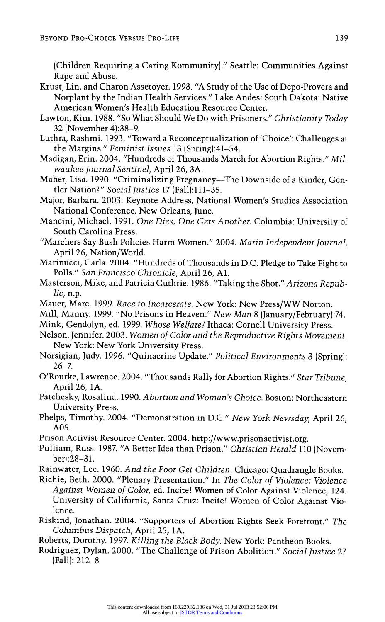**(Children Requiring a Caring Kommunity)." Seattle: Communities Against Rape and Abuse.** 

- **Krust, Lin, and Charon Assetoyer. 1993. "A Study of the Use of Depo-Provera and Norplant by the Indian Health Services." Lake Andes: South Dakota: Native American Women's Health Education Resource Center.**
- **Lawton, Kim. 1988. "So What Should We Do with Prisoners." Christianity Today 32 (November 4):38-9.**
- **Luthra, Rashmi. 1993. "Toward a Reconceptualization of 'Choice': Challenges at the Margins." Feminist Issues 13 (Spring):41-54.**
- **Madigan, Erin. 2004. "Hundreds of Thousands March for Abortion Rights." Milwaukee Journal Sentinel, April 26, 3A.**
- **Maher, Lisa. 1990. "Criminalizing Pregnancy-The Downside of a Kinder, Gentler Nation? " Social Justice 17 (Fall):11 1-35.**
- **Major, Barbara. 2003. Keynote Address, National Women's Studies Association National Conference. New Orleans, June.**
- **Mancini, Michael. 1991. One Dies, One Gets Another. Columbia: University of South Carolina Press.**
- **"Marchers Say Bush Policies Harm Women." 2004. Marin Independent Journal, April 26, Nation/World.**
- **Marinucci, Carla. 2004. "Hundreds of Thousands in D.C. Pledge to Take Fight to Polls." San Francisco Chronicle, April 26, Al.**
- **Masterson, Mike, and Patricia Guthrie. 1986. "Taking the Shot." Arizona Republic, n.p.**
- **Mauer, Marc. 1999. Race to Incarcerate. New York: New Press/WW Norton.**
- **Mill, Manny. 1999. "No Prisons in Heaven." New Man 8 (January/February):74.**
- **Mink, Gendolyn, ed. 1999. Whose Welfare? Ithaca: Cornell University Press.**
- **Nelson, Jennifer. 2003. Women of Color and the Reproductive Rights Movement. New York: New York University Press.**
- **Norsigian, Judy. 1996. "Quinacrine Update." Political Environments 3 (Spring): 26-7.**
- **O'Rourke, Lawrence. 2004. "Thousands Rally for Abortion Rights." Star Tribune, April 26, LA.**
- **Patchesky, Rosalind. 1990. Abortion and Woman's Choice. Boston: Northeastern University Press.**
- **Phelps, Timothy. 2004. "Demonstration in D.C." New York Newsday, April 26, A05.**
- **Prison Activist Resource Center. 2004. http://www.prisonactivist.org.**
- **Pulliam, Russ. 1987. "A Better Idea than Prison." Christian Herald 110 (November):28-31.**
- **Rainwater, Lee. 1960. And the Poor Get Children. Chicago: Quadrangle Books.**

**Richie, Beth. 2000. "Plenary Presentation." In The Color of Violence: Violence Against Women of Color, ed. Incite! Women of Color Against Violence, 124. University of California, Santa Cruz: Incite! Women of Color Against Violence.** 

- **Riskind, Jonathan. 2004. "Supporters of Abortion Rights Seek Forefront." The Columbus Dispatch, April 25, 1A.**
- **Roberts, Dorothy. 1997. Killing the Black Body. New York: Pantheon Books.**
- **Rodriguez, Dylan. 2000. "The Challenge of Prison Abolition." Social fustice 27 (Fall): 212-8**